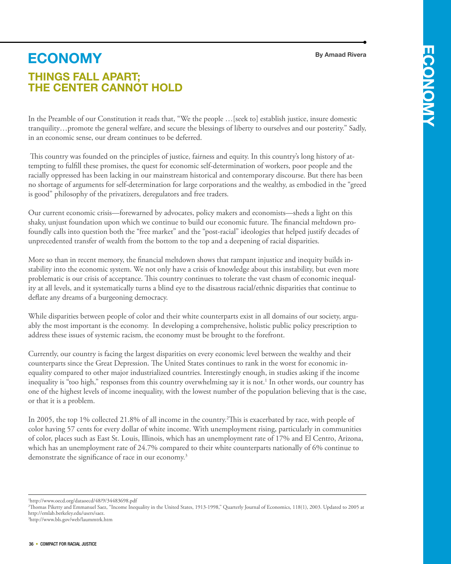**By Amaad Rivera**

# **Things fall apart; the center cannot hold economy**

In the Preamble of our Constitution it reads that, "We the people …[seek to] establish justice, insure domestic **Y** tranquility…promote the general welfare, and secure the blessings of liberty to ourselves and our posterity." Sadly, in an economic sense, our dream continues to be deferred.

 This country was founded on the principles of justice, fairness and equity. In this country's long history of attempting to fulfill these promises, the quest for economic self-determination of workers, poor people and the racially oppressed has been lacking in our mainstream historical and contemporary discourse. But there has been no shortage of arguments for self-determination for large corporations and the wealthy, as embodied in the "greed is good" philosophy of the privatizers, deregulators and free traders.

Our current economic crisis—forewarned by advocates, policy makers and economists—sheds a light on this shaky, unjust foundation upon which we continue to build our economic future. The financial meltdown profoundly calls into question both the "free market" and the "post-racial" ideologies that helped justify decades of unprecedented transfer of wealth from the bottom to the top and a deepening of racial disparities.

More so than in recent memory, the financial meltdown shows that rampant injustice and inequity builds instability into the economic system. We not only have a crisis of knowledge about this instability, but even more problematic is our crisis of acceptance. This country continues to tolerate the vast chasm of economic inequality at all levels, and it systematically turns a blind eye to the disastrous racial/ethnic disparities that continue to deflate any dreams of a burgeoning democracy.

While disparities between people of color and their white counterparts exist in all domains of our society, arguably the most important is the economy. In developing a comprehensive, holistic public policy prescription to address these issues of systemic racism, the economy must be brought to the forefront.

Currently, our country is facing the largest disparities on every economic level between the wealthy and their counterparts since the Great Depression. The United States continues to rank in the worst for economic inequality compared to other major industrialized countries. Interestingly enough, in studies asking if the income inequality is "too high," responses from this country overwhelming say it is not.<sup>1</sup> In other words, our country has one of the highest levels of income inequality, with the lowest number of the population believing that is the case, or that it is a problem.

In 2005, the top 1% collected 21.8% of all income in the country.2 This is exacerbated by race, with people of color having 57 cents for every dollar of white income. With unemployment rising, particularly in communities of color, places such as East St. Louis, Illinois, which has an unemployment rate of 17% and El Centro, Arizona, which has an unemployment rate of 24.7% compared to their white counterparts nationally of 6% continue to demonstrate the significance of race in our economy.<sup>3</sup>

1 http://www.oecd.org/dataoecd/48/9/34483698.pdf

<sup>2</sup> Thomas Piketty and Emmanuel Saez, "Income Inequality in the United States, 1913-1998," Quarterly Journal of Economics, 118(1), 2003. Updated to 2005 at http://emlab.berkeley.edu/users/saez.

<sup>3</sup> http://www.bls.gov/web/laummtrk.htm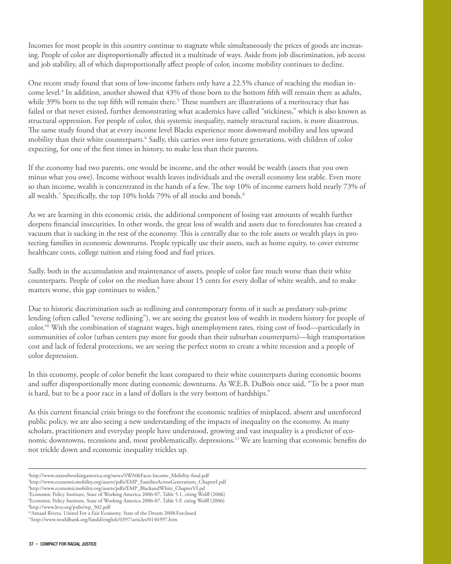Incomes for most people in this country continue to stagnate while simultaneously the prices of goods are increasing. People of color are disproportionally affected in a multitude of ways. Aside from job discrimination, job access and job stability, all of which disproportionally affect people of color, income mobility continues to decline.

One recent study found that sons of low-income fathers only have a 22.5% chance of reaching the median income level.4 In addition, another showed that 43% of those born to the bottom fifth will remain there as adults, while 39% born to the top fifth will remain there.<sup>5</sup> These numbers are illustrations of a meritocracy that has failed or that never existed, further demonstrating what academics have called "stickiness," which is also known as structural oppression. For people of color, this systemic inequality, namely structural racism, is more disastrous. The same study found that at every income level Blacks experience more downward mobility and less upward mobility than their white counterparts.<sup>6</sup> Sadly, this carries over into future generations, with children of color expecting, for one of the first times in history, to make less than their parents.

If the economy had two parents, one would be income, and the other would be wealth (assets that you own minus what you owe). Income without wealth leaves individuals and the overall economy less stable. Even more so than income, wealth is concentrated in the hands of a few. The top 10% of income earners hold nearly 73% of all wealth.<sup>7</sup> Specifically, the top 10% holds 79% of all stocks and bonds.<sup>8</sup>

As we are learning in this economic crisis, the additional component of losing vast amounts of wealth further deepens financial insecurities. In other words, the great loss of wealth and assets due to foreclosures has created a vacuum that is sucking in the rest of the economy. This is centrally due to the role assets or wealth plays in protecting families in economic downturns. People typically use their assets, such as home equity, to cover extreme healthcare costs, college tuition and rising food and fuel prices.

Sadly, both in the accumulation and maintenance of assets, people of color fare much worse than their white counterparts. People of color on the median have about 15 cents for every dollar of white wealth, and to make matters worse, this gap continues to widen.<sup>9</sup>

Due to historic discrimination such as redlining and contemporary forms of it such as predatory sub-prime lending (often called "reverse redlining"), we are seeing the greatest loss of wealth in modern history for people of color.10 With the combination of stagnant wages, high unemployment rates, rising cost of food—particularly in communities of color (urban centers pay more for goods than their suburban counterparts)—high transportation cost and lack of federal protections, we are seeing the perfect storm to create a white recession and a people of color depression.

In this economy, people of color benefit the least compared to their white counterparts during economic booms and suffer disproportionally more during economic downturns. As W.E.B. DuBois once said, "To be a poor man is hard, but to be a poor race in a land of dollars is the very bottom of hardships."

As this current financial crisis brings to the forefront the economic realities of misplaced, absent and unenforced public policy, we are also seeing a new understanding of the impacts of inequality on the economy. As many scholars, practitioners and everyday people have understood, growing and vast inequality is a predictor of economic downtowns, recessions and, most problematically, depressions.11 We are learning that economic benefits do not trickle down and economic inequality trickles up.

<sup>4</sup> http://www.stateofworkingamerica.org/news/SWA06Facts-Income\_Mobility-final.pdf

<sup>5</sup> http://www.economicmobility.org/assets/pdfs/EMP\_FamiliesAcrossGenerations\_ChapterI.pdf 6 http://www.economicmobility.org/assets/pdfs/EMP\_BlackandWhite\_ChapterVI.pd

<sup>7</sup> Economic Policy Institute, State of Working America 2006-07, Table 5.1, citing Wolff (2006) 8 Economic Policy Institute, State of Working America 2006-07, Table 5.F, citing Wolff (2006) 9 http://www.levy.org/pubs/wp\_502.pdf

<sup>&</sup>lt;sup>10</sup>Amaad Rivera. United For a Fair Economy. State of the Dream 2008:Forclosed

<sup>11</sup>http://www.worldbank.org/fandd/english/0397/articles/0140397.htm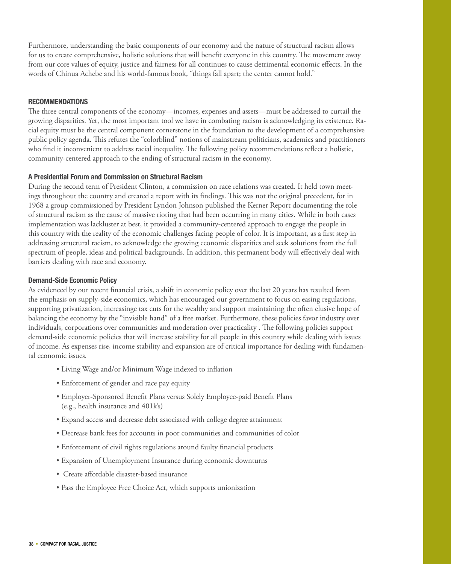Furthermore, understanding the basic components of our economy and the nature of structural racism allows for us to create comprehensive, holistic solutions that will benefit everyone in this country. The movement away from our core values of equity, justice and fairness for all continues to cause detrimental economic effects. In the words of Chinua Achebe and his world-famous book, "things fall apart; the center cannot hold."

#### **Recommendations**

The three central components of the economy—incomes, expenses and assets—must be addressed to curtail the growing disparities. Yet, the most important tool we have in combating racism is acknowledging its existence. Racial equity must be the central component cornerstone in the foundation to the development of a comprehensive public policy agenda. This refutes the "colorblind" notions of mainstream politicians, academics and practitioners who find it inconvenient to address racial inequality. The following policy recommendations reflect a holistic, community-centered approach to the ending of structural racism in the economy.

#### **A Presidential Forum and Commission on Structural Racism**

During the second term of President Clinton, a commission on race relations was created. It held town meetings throughout the country and created a report with its findings. This was not the original precedent, for in 1968 a group commissioned by President Lyndon Johnson published the Kerner Report documenting the role of structural racism as the cause of massive rioting that had been occurring in many cities. While in both cases implementation was lackluster at best, it provided a community-centered approach to engage the people in this country with the reality of the economic challenges facing people of color. It is important, as a first step in addressing structural racism, to acknowledge the growing economic disparities and seek solutions from the full spectrum of people, ideas and political backgrounds. In addition, this permanent body will effectively deal with barriers dealing with race and economy.

## **Demand-Side Economic Policy**

As evidenced by our recent financial crisis, a shift in economic policy over the last 20 years has resulted from the emphasis on supply-side economics, which has encouraged our government to focus on easing regulations, supporting privatization, increasinge tax cuts for the wealthy and support maintaining the often elusive hope of balancing the economy by the "invisible hand" of a free market. Furthermore, these policies favor industry over individuals, corporations over communities and moderation over practicality . The following policies support demand-side economic policies that will increase stability for all people in this country while dealing with issues of income. As expenses rise, income stability and expansion are of critical importance for dealing with fundamental economic issues.

- Living Wage and/or Minimum Wage indexed to inflation
- Enforcement of gender and race pay equity
- Employer-Sponsored Benefit Plans versus Solely Employee-paid Benefit Plans (e.g., health insurance and 401k's)
- Expand access and decrease debt associated with college degree attainment
- Decrease bank fees for accounts in poor communities and communities of color
- Enforcement of civil rights regulations around faulty financial products
- Expansion of Unemployment Insurance during economic downturns
- Create affordable disaster-based insurance
- Pass the Employee Free Choice Act, which supports unionization